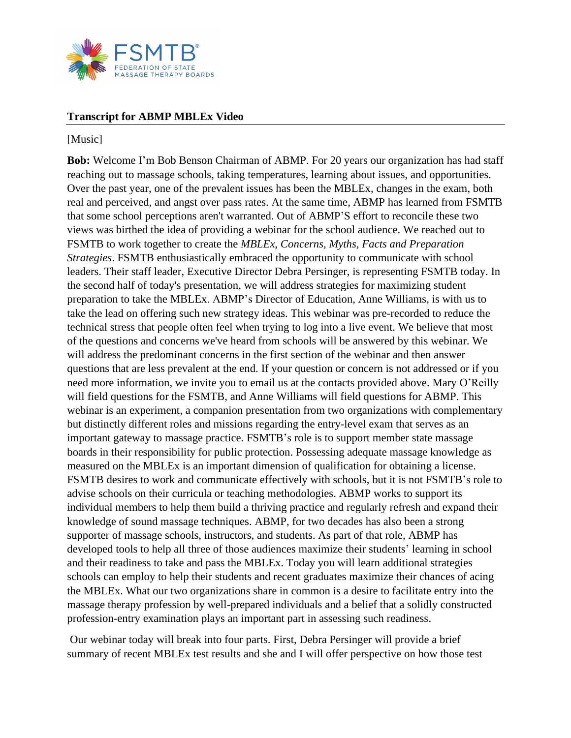

## **Transcript for ABMP MBLEx Video**

## [Music]

**Bob:** Welcome I'm Bob Benson Chairman of ABMP. For 20 years our organization has had staff reaching out to massage schools, taking temperatures, learning about issues, and opportunities. Over the past year, one of the prevalent issues has been the MBLEx, changes in the exam, both real and perceived, and angst over pass rates. At the same time, ABMP has learned from FSMTB that some school perceptions aren't warranted. Out of ABMP'S effort to reconcile these two views was birthed the idea of providing a webinar for the school audience. We reached out to FSMTB to work together to create the *MBLEx, Concerns, Myths, Facts and Preparation Strategies*. FSMTB enthusiastically embraced the opportunity to communicate with school leaders. Their staff leader, Executive Director Debra Persinger, is representing FSMTB today. In the second half of today's presentation, we will address strategies for maximizing student preparation to take the MBLEx. ABMP's Director of Education, Anne Williams, is with us to take the lead on offering such new strategy ideas. This webinar was pre-recorded to reduce the technical stress that people often feel when trying to log into a live event. We believe that most of the questions and concerns we've heard from schools will be answered by this webinar. We will address the predominant concerns in the first section of the webinar and then answer questions that are less prevalent at the end. If your question or concern is not addressed or if you need more information, we invite you to email us at the contacts provided above. Mary O'Reilly will field questions for the FSMTB, and Anne Williams will field questions for ABMP. This webinar is an experiment, a companion presentation from two organizations with complementary but distinctly different roles and missions regarding the entry-level exam that serves as an important gateway to massage practice. FSMTB's role is to support member state massage boards in their responsibility for public protection. Possessing adequate massage knowledge as measured on the MBLEx is an important dimension of qualification for obtaining a license. FSMTB desires to work and communicate effectively with schools, but it is not FSMTB's role to advise schools on their curricula or teaching methodologies. ABMP works to support its individual members to help them build a thriving practice and regularly refresh and expand their knowledge of sound massage techniques. ABMP, for two decades has also been a strong supporter of massage schools, instructors, and students. As part of that role, ABMP has developed tools to help all three of those audiences maximize their students' learning in school and their readiness to take and pass the MBLEx. Today you will learn additional strategies schools can employ to help their students and recent graduates maximize their chances of acing the MBLEx. What our two organizations share in common is a desire to facilitate entry into the massage therapy profession by well-prepared individuals and a belief that a solidly constructed profession-entry examination plays an important part in assessing such readiness.

Our webinar today will break into four parts. First, Debra Persinger will provide a brief summary of recent MBLEx test results and she and I will offer perspective on how those test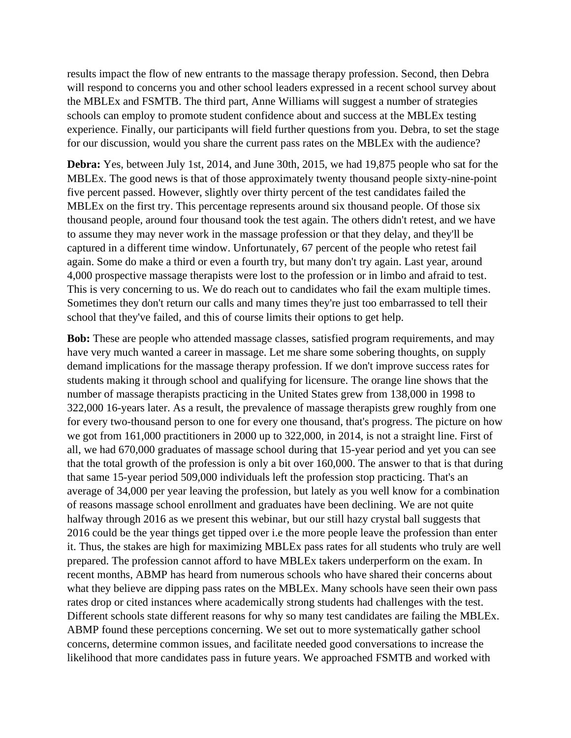results impact the flow of new entrants to the massage therapy profession. Second, then Debra will respond to concerns you and other school leaders expressed in a recent school survey about the MBLEx and FSMTB. The third part, Anne Williams will suggest a number of strategies schools can employ to promote student confidence about and success at the MBLEx testing experience. Finally, our participants will field further questions from you. Debra, to set the stage for our discussion, would you share the current pass rates on the MBLEx with the audience?

**Debra:** Yes, between July 1st, 2014, and June 30th, 2015, we had 19,875 people who sat for the MBLEx. The good news is that of those approximately twenty thousand people sixty-nine-point five percent passed. However, slightly over thirty percent of the test candidates failed the MBLEx on the first try. This percentage represents around six thousand people. Of those six thousand people, around four thousand took the test again. The others didn't retest, and we have to assume they may never work in the massage profession or that they delay, and they'll be captured in a different time window. Unfortunately, 67 percent of the people who retest fail again. Some do make a third or even a fourth try, but many don't try again. Last year, around 4,000 prospective massage therapists were lost to the profession or in limbo and afraid to test. This is very concerning to us. We do reach out to candidates who fail the exam multiple times. Sometimes they don't return our calls and many times they're just too embarrassed to tell their school that they've failed, and this of course limits their options to get help.

**Bob:** These are people who attended massage classes, satisfied program requirements, and may have very much wanted a career in massage. Let me share some sobering thoughts, on supply demand implications for the massage therapy profession. If we don't improve success rates for students making it through school and qualifying for licensure. The orange line shows that the number of massage therapists practicing in the United States grew from 138,000 in 1998 to 322,000 16-years later. As a result, the prevalence of massage therapists grew roughly from one for every two-thousand person to one for every one thousand, that's progress. The picture on how we got from 161,000 practitioners in 2000 up to 322,000, in 2014, is not a straight line. First of all, we had 670,000 graduates of massage school during that 15-year period and yet you can see that the total growth of the profession is only a bit over 160,000. The answer to that is that during that same 15-year period 509,000 individuals left the profession stop practicing. That's an average of 34,000 per year leaving the profession, but lately as you well know for a combination of reasons massage school enrollment and graduates have been declining. We are not quite halfway through 2016 as we present this webinar, but our still hazy crystal ball suggests that 2016 could be the year things get tipped over i.e the more people leave the profession than enter it. Thus, the stakes are high for maximizing MBLEx pass rates for all students who truly are well prepared. The profession cannot afford to have MBLEx takers underperform on the exam. In recent months, ABMP has heard from numerous schools who have shared their concerns about what they believe are dipping pass rates on the MBLEx. Many schools have seen their own pass rates drop or cited instances where academically strong students had challenges with the test. Different schools state different reasons for why so many test candidates are failing the MBLEx. ABMP found these perceptions concerning. We set out to more systematically gather school concerns, determine common issues, and facilitate needed good conversations to increase the likelihood that more candidates pass in future years. We approached FSMTB and worked with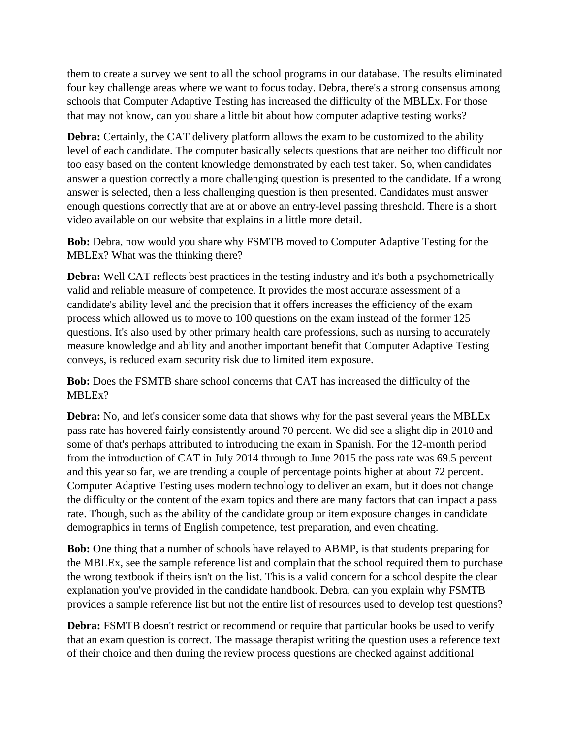them to create a survey we sent to all the school programs in our database. The results eliminated four key challenge areas where we want to focus today. Debra, there's a strong consensus among schools that Computer Adaptive Testing has increased the difficulty of the MBLEx. For those that may not know, can you share a little bit about how computer adaptive testing works?

**Debra:** Certainly, the CAT delivery platform allows the exam to be customized to the ability level of each candidate. The computer basically selects questions that are neither too difficult nor too easy based on the content knowledge demonstrated by each test taker. So, when candidates answer a question correctly a more challenging question is presented to the candidate. If a wrong answer is selected, then a less challenging question is then presented. Candidates must answer enough questions correctly that are at or above an entry-level passing threshold. There is a short video available on our website that explains in a little more detail.

**Bob:** Debra, now would you share why FSMTB moved to Computer Adaptive Testing for the MBLEx? What was the thinking there?

**Debra:** Well CAT reflects best practices in the testing industry and it's both a psychometrically valid and reliable measure of competence. It provides the most accurate assessment of a candidate's ability level and the precision that it offers increases the efficiency of the exam process which allowed us to move to 100 questions on the exam instead of the former 125 questions. It's also used by other primary health care professions, such as nursing to accurately measure knowledge and ability and another important benefit that Computer Adaptive Testing conveys, is reduced exam security risk due to limited item exposure.

**Bob:** Does the FSMTB share school concerns that CAT has increased the difficulty of the MBLEx?

**Debra:** No, and let's consider some data that shows why for the past several years the MBLEx pass rate has hovered fairly consistently around 70 percent. We did see a slight dip in 2010 and some of that's perhaps attributed to introducing the exam in Spanish. For the 12-month period from the introduction of CAT in July 2014 through to June 2015 the pass rate was 69.5 percent and this year so far, we are trending a couple of percentage points higher at about 72 percent. Computer Adaptive Testing uses modern technology to deliver an exam, but it does not change the difficulty or the content of the exam topics and there are many factors that can impact a pass rate. Though, such as the ability of the candidate group or item exposure changes in candidate demographics in terms of English competence, test preparation, and even cheating.

**Bob:** One thing that a number of schools have relayed to ABMP, is that students preparing for the MBLEx, see the sample reference list and complain that the school required them to purchase the wrong textbook if theirs isn't on the list. This is a valid concern for a school despite the clear explanation you've provided in the candidate handbook. Debra, can you explain why FSMTB provides a sample reference list but not the entire list of resources used to develop test questions?

**Debra:** FSMTB doesn't restrict or recommend or require that particular books be used to verify that an exam question is correct. The massage therapist writing the question uses a reference text of their choice and then during the review process questions are checked against additional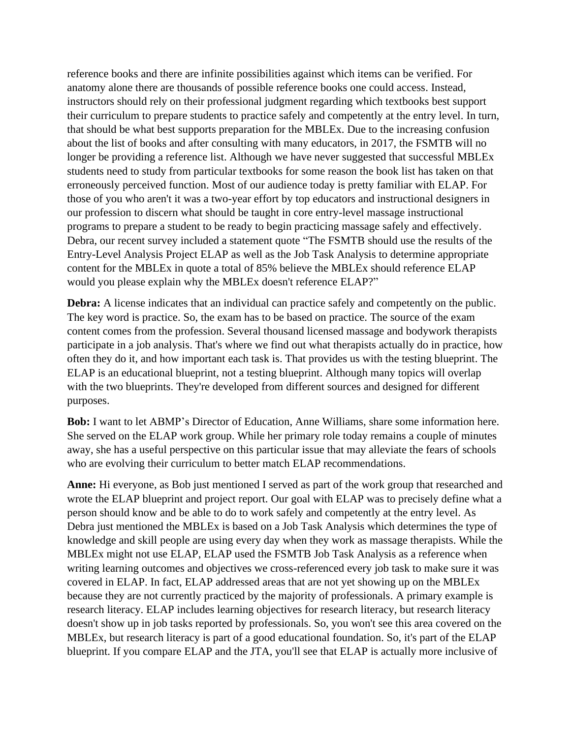reference books and there are infinite possibilities against which items can be verified. For anatomy alone there are thousands of possible reference books one could access. Instead, instructors should rely on their professional judgment regarding which textbooks best support their curriculum to prepare students to practice safely and competently at the entry level. In turn, that should be what best supports preparation for the MBLEx. Due to the increasing confusion about the list of books and after consulting with many educators, in 2017, the FSMTB will no longer be providing a reference list. Although we have never suggested that successful MBLEx students need to study from particular textbooks for some reason the book list has taken on that erroneously perceived function. Most of our audience today is pretty familiar with ELAP. For those of you who aren't it was a two-year effort by top educators and instructional designers in our profession to discern what should be taught in core entry-level massage instructional programs to prepare a student to be ready to begin practicing massage safely and effectively. Debra, our recent survey included a statement quote "The FSMTB should use the results of the Entry-Level Analysis Project ELAP as well as the Job Task Analysis to determine appropriate content for the MBLEx in quote a total of 85% believe the MBLEx should reference ELAP would you please explain why the MBLEx doesn't reference ELAP?"

**Debra:** A license indicates that an individual can practice safely and competently on the public. The key word is practice. So, the exam has to be based on practice. The source of the exam content comes from the profession. Several thousand licensed massage and bodywork therapists participate in a job analysis. That's where we find out what therapists actually do in practice, how often they do it, and how important each task is. That provides us with the testing blueprint. The ELAP is an educational blueprint, not a testing blueprint. Although many topics will overlap with the two blueprints. They're developed from different sources and designed for different purposes.

**Bob:** I want to let ABMP's Director of Education, Anne Williams, share some information here. She served on the ELAP work group. While her primary role today remains a couple of minutes away, she has a useful perspective on this particular issue that may alleviate the fears of schools who are evolving their curriculum to better match ELAP recommendations.

**Anne:** Hi everyone, as Bob just mentioned I served as part of the work group that researched and wrote the ELAP blueprint and project report. Our goal with ELAP was to precisely define what a person should know and be able to do to work safely and competently at the entry level. As Debra just mentioned the MBLEx is based on a Job Task Analysis which determines the type of knowledge and skill people are using every day when they work as massage therapists. While the MBLEx might not use ELAP, ELAP used the FSMTB Job Task Analysis as a reference when writing learning outcomes and objectives we cross-referenced every job task to make sure it was covered in ELAP. In fact, ELAP addressed areas that are not yet showing up on the MBLEx because they are not currently practiced by the majority of professionals. A primary example is research literacy. ELAP includes learning objectives for research literacy, but research literacy doesn't show up in job tasks reported by professionals. So, you won't see this area covered on the MBLEx, but research literacy is part of a good educational foundation. So, it's part of the ELAP blueprint. If you compare ELAP and the JTA, you'll see that ELAP is actually more inclusive of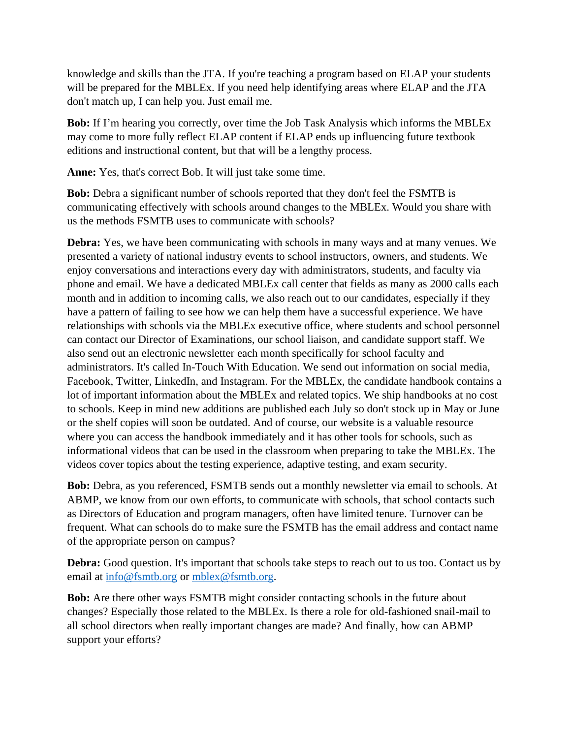knowledge and skills than the JTA. If you're teaching a program based on ELAP your students will be prepared for the MBLEx. If you need help identifying areas where ELAP and the JTA don't match up, I can help you. Just email me.

**Bob:** If I'm hearing you correctly, over time the Job Task Analysis which informs the MBLEx may come to more fully reflect ELAP content if ELAP ends up influencing future textbook editions and instructional content, but that will be a lengthy process.

**Anne:** Yes, that's correct Bob. It will just take some time.

**Bob:** Debra a significant number of schools reported that they don't feel the FSMTB is communicating effectively with schools around changes to the MBLEx. Would you share with us the methods FSMTB uses to communicate with schools?

**Debra:** Yes, we have been communicating with schools in many ways and at many venues. We presented a variety of national industry events to school instructors, owners, and students. We enjoy conversations and interactions every day with administrators, students, and faculty via phone and email. We have a dedicated MBLEx call center that fields as many as 2000 calls each month and in addition to incoming calls, we also reach out to our candidates, especially if they have a pattern of failing to see how we can help them have a successful experience. We have relationships with schools via the MBLEx executive office, where students and school personnel can contact our Director of Examinations, our school liaison, and candidate support staff. We also send out an electronic newsletter each month specifically for school faculty and administrators. It's called In-Touch With Education. We send out information on social media, Facebook, Twitter, LinkedIn, and Instagram. For the MBLEx, the candidate handbook contains a lot of important information about the MBLEx and related topics. We ship handbooks at no cost to schools. Keep in mind new additions are published each July so don't stock up in May or June or the shelf copies will soon be outdated. And of course, our website is a valuable resource where you can access the handbook immediately and it has other tools for schools, such as informational videos that can be used in the classroom when preparing to take the MBLEx. The videos cover topics about the testing experience, adaptive testing, and exam security.

**Bob:** Debra, as you referenced, FSMTB sends out a monthly newsletter via email to schools. At ABMP, we know from our own efforts, to communicate with schools, that school contacts such as Directors of Education and program managers, often have limited tenure. Turnover can be frequent. What can schools do to make sure the FSMTB has the email address and contact name of the appropriate person on campus?

**Debra:** Good question. It's important that schools take steps to reach out to us too. Contact us by email at [info@fsmtb.org](mailto:info@fsmtb.org) or [mblex@fsmtb.org.](mailto:mblex@fsmtb.org)

**Bob:** Are there other ways FSMTB might consider contacting schools in the future about changes? Especially those related to the MBLEx. Is there a role for old-fashioned snail-mail to all school directors when really important changes are made? And finally, how can ABMP support your efforts?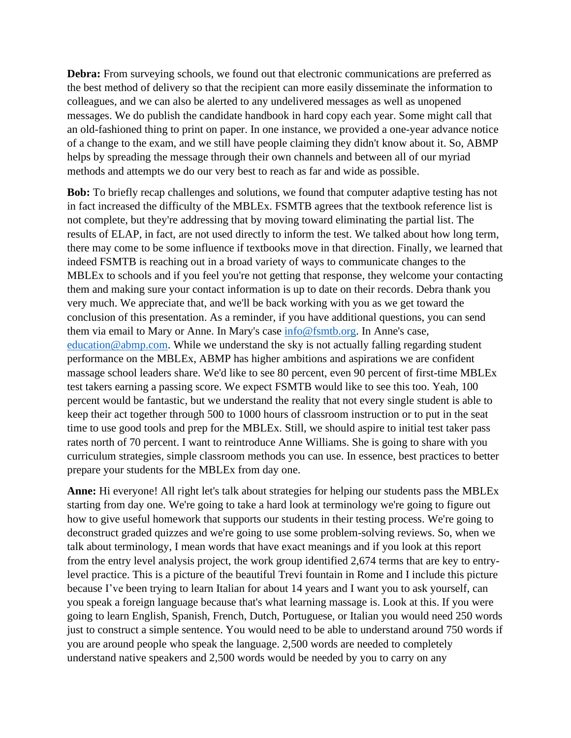**Debra:** From surveying schools, we found out that electronic communications are preferred as the best method of delivery so that the recipient can more easily disseminate the information to colleagues, and we can also be alerted to any undelivered messages as well as unopened messages. We do publish the candidate handbook in hard copy each year. Some might call that an old-fashioned thing to print on paper. In one instance, we provided a one-year advance notice of a change to the exam, and we still have people claiming they didn't know about it. So, ABMP helps by spreading the message through their own channels and between all of our myriad methods and attempts we do our very best to reach as far and wide as possible.

**Bob:** To briefly recap challenges and solutions, we found that computer adaptive testing has not in fact increased the difficulty of the MBLEx. FSMTB agrees that the textbook reference list is not complete, but they're addressing that by moving toward eliminating the partial list. The results of ELAP, in fact, are not used directly to inform the test. We talked about how long term, there may come to be some influence if textbooks move in that direction. Finally, we learned that indeed FSMTB is reaching out in a broad variety of ways to communicate changes to the MBLEx to schools and if you feel you're not getting that response, they welcome your contacting them and making sure your contact information is up to date on their records. Debra thank you very much. We appreciate that, and we'll be back working with you as we get toward the conclusion of this presentation. As a reminder, if you have additional questions, you can send them via email to Mary or Anne. In Mary's case [info@fsmtb.org.](mailto:info@fsmtb.org) In Anne's case, [education@abmp.com.](mailto:education@abmp.com) While we understand the sky is not actually falling regarding student performance on the MBLEx, ABMP has higher ambitions and aspirations we are confident massage school leaders share. We'd like to see 80 percent, even 90 percent of first-time MBLEx test takers earning a passing score. We expect FSMTB would like to see this too. Yeah, 100 percent would be fantastic, but we understand the reality that not every single student is able to keep their act together through 500 to 1000 hours of classroom instruction or to put in the seat time to use good tools and prep for the MBLEx. Still, we should aspire to initial test taker pass rates north of 70 percent. I want to reintroduce Anne Williams. She is going to share with you curriculum strategies, simple classroom methods you can use. In essence, best practices to better prepare your students for the MBLEx from day one.

**Anne:** Hi everyone! All right let's talk about strategies for helping our students pass the MBLEx starting from day one. We're going to take a hard look at terminology we're going to figure out how to give useful homework that supports our students in their testing process. We're going to deconstruct graded quizzes and we're going to use some problem-solving reviews. So, when we talk about terminology, I mean words that have exact meanings and if you look at this report from the entry level analysis project, the work group identified 2,674 terms that are key to entrylevel practice. This is a picture of the beautiful Trevi fountain in Rome and I include this picture because I've been trying to learn Italian for about 14 years and I want you to ask yourself, can you speak a foreign language because that's what learning massage is. Look at this. If you were going to learn English, Spanish, French, Dutch, Portuguese, or Italian you would need 250 words just to construct a simple sentence. You would need to be able to understand around 750 words if you are around people who speak the language. 2,500 words are needed to completely understand native speakers and 2,500 words would be needed by you to carry on any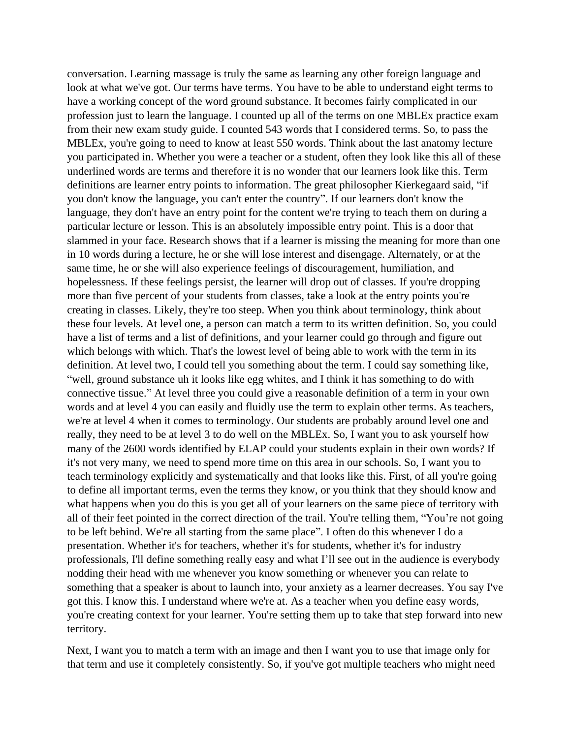conversation. Learning massage is truly the same as learning any other foreign language and look at what we've got. Our terms have terms. You have to be able to understand eight terms to have a working concept of the word ground substance. It becomes fairly complicated in our profession just to learn the language. I counted up all of the terms on one MBLEx practice exam from their new exam study guide. I counted 543 words that I considered terms. So, to pass the MBLEx, you're going to need to know at least 550 words. Think about the last anatomy lecture you participated in. Whether you were a teacher or a student, often they look like this all of these underlined words are terms and therefore it is no wonder that our learners look like this. Term definitions are learner entry points to information. The great philosopher Kierkegaard said, "if you don't know the language, you can't enter the country". If our learners don't know the language, they don't have an entry point for the content we're trying to teach them on during a particular lecture or lesson. This is an absolutely impossible entry point. This is a door that slammed in your face. Research shows that if a learner is missing the meaning for more than one in 10 words during a lecture, he or she will lose interest and disengage. Alternately, or at the same time, he or she will also experience feelings of discouragement, humiliation, and hopelessness. If these feelings persist, the learner will drop out of classes. If you're dropping more than five percent of your students from classes, take a look at the entry points you're creating in classes. Likely, they're too steep. When you think about terminology, think about these four levels. At level one, a person can match a term to its written definition. So, you could have a list of terms and a list of definitions, and your learner could go through and figure out which belongs with which. That's the lowest level of being able to work with the term in its definition. At level two, I could tell you something about the term. I could say something like, "well, ground substance uh it looks like egg whites, and I think it has something to do with connective tissue." At level three you could give a reasonable definition of a term in your own words and at level 4 you can easily and fluidly use the term to explain other terms. As teachers, we're at level 4 when it comes to terminology. Our students are probably around level one and really, they need to be at level 3 to do well on the MBLEx. So, I want you to ask yourself how many of the 2600 words identified by ELAP could your students explain in their own words? If it's not very many, we need to spend more time on this area in our schools. So, I want you to teach terminology explicitly and systematically and that looks like this. First, of all you're going to define all important terms, even the terms they know, or you think that they should know and what happens when you do this is you get all of your learners on the same piece of territory with all of their feet pointed in the correct direction of the trail. You're telling them, "You're not going to be left behind. We're all starting from the same place". I often do this whenever I do a presentation. Whether it's for teachers, whether it's for students, whether it's for industry professionals, I'll define something really easy and what I'll see out in the audience is everybody nodding their head with me whenever you know something or whenever you can relate to something that a speaker is about to launch into, your anxiety as a learner decreases. You say I've got this. I know this. I understand where we're at. As a teacher when you define easy words, you're creating context for your learner. You're setting them up to take that step forward into new territory.

Next, I want you to match a term with an image and then I want you to use that image only for that term and use it completely consistently. So, if you've got multiple teachers who might need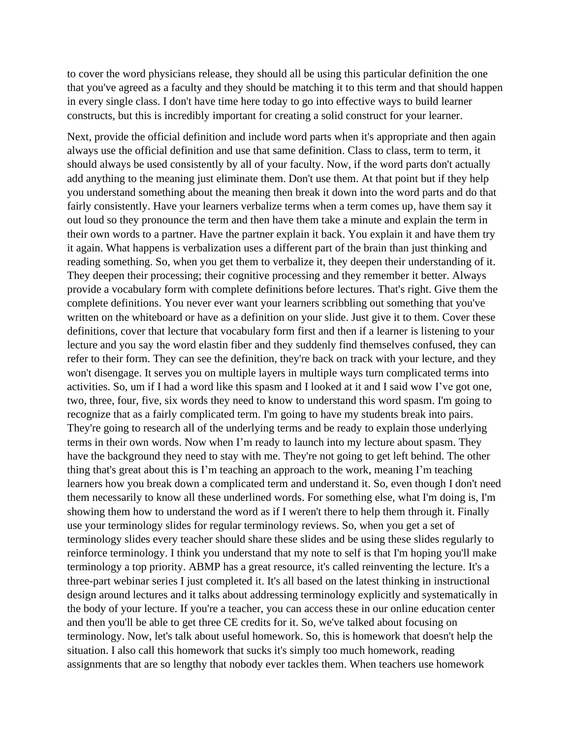to cover the word physicians release, they should all be using this particular definition the one that you've agreed as a faculty and they should be matching it to this term and that should happen in every single class. I don't have time here today to go into effective ways to build learner constructs, but this is incredibly important for creating a solid construct for your learner.

Next, provide the official definition and include word parts when it's appropriate and then again always use the official definition and use that same definition. Class to class, term to term, it should always be used consistently by all of your faculty. Now, if the word parts don't actually add anything to the meaning just eliminate them. Don't use them. At that point but if they help you understand something about the meaning then break it down into the word parts and do that fairly consistently. Have your learners verbalize terms when a term comes up, have them say it out loud so they pronounce the term and then have them take a minute and explain the term in their own words to a partner. Have the partner explain it back. You explain it and have them try it again. What happens is verbalization uses a different part of the brain than just thinking and reading something. So, when you get them to verbalize it, they deepen their understanding of it. They deepen their processing; their cognitive processing and they remember it better. Always provide a vocabulary form with complete definitions before lectures. That's right. Give them the complete definitions. You never ever want your learners scribbling out something that you've written on the whiteboard or have as a definition on your slide. Just give it to them. Cover these definitions, cover that lecture that vocabulary form first and then if a learner is listening to your lecture and you say the word elastin fiber and they suddenly find themselves confused, they can refer to their form. They can see the definition, they're back on track with your lecture, and they won't disengage. It serves you on multiple layers in multiple ways turn complicated terms into activities. So, um if I had a word like this spasm and I looked at it and I said wow I've got one, two, three, four, five, six words they need to know to understand this word spasm. I'm going to recognize that as a fairly complicated term. I'm going to have my students break into pairs. They're going to research all of the underlying terms and be ready to explain those underlying terms in their own words. Now when I'm ready to launch into my lecture about spasm. They have the background they need to stay with me. They're not going to get left behind. The other thing that's great about this is I'm teaching an approach to the work, meaning I'm teaching learners how you break down a complicated term and understand it. So, even though I don't need them necessarily to know all these underlined words. For something else, what I'm doing is, I'm showing them how to understand the word as if I weren't there to help them through it. Finally use your terminology slides for regular terminology reviews. So, when you get a set of terminology slides every teacher should share these slides and be using these slides regularly to reinforce terminology. I think you understand that my note to self is that I'm hoping you'll make terminology a top priority. ABMP has a great resource, it's called reinventing the lecture. It's a three-part webinar series I just completed it. It's all based on the latest thinking in instructional design around lectures and it talks about addressing terminology explicitly and systematically in the body of your lecture. If you're a teacher, you can access these in our online education center and then you'll be able to get three CE credits for it. So, we've talked about focusing on terminology. Now, let's talk about useful homework. So, this is homework that doesn't help the situation. I also call this homework that sucks it's simply too much homework, reading assignments that are so lengthy that nobody ever tackles them. When teachers use homework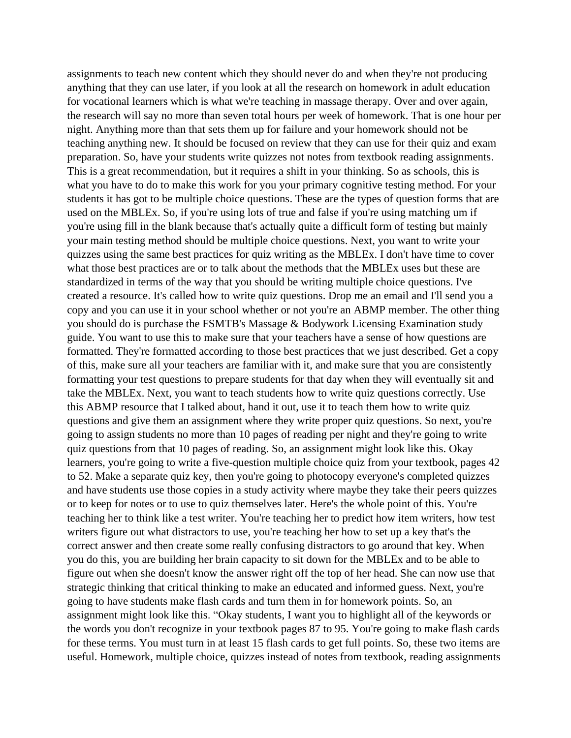assignments to teach new content which they should never do and when they're not producing anything that they can use later, if you look at all the research on homework in adult education for vocational learners which is what we're teaching in massage therapy. Over and over again, the research will say no more than seven total hours per week of homework. That is one hour per night. Anything more than that sets them up for failure and your homework should not be teaching anything new. It should be focused on review that they can use for their quiz and exam preparation. So, have your students write quizzes not notes from textbook reading assignments. This is a great recommendation, but it requires a shift in your thinking. So as schools, this is what you have to do to make this work for you your primary cognitive testing method. For your students it has got to be multiple choice questions. These are the types of question forms that are used on the MBLEx. So, if you're using lots of true and false if you're using matching um if you're using fill in the blank because that's actually quite a difficult form of testing but mainly your main testing method should be multiple choice questions. Next, you want to write your quizzes using the same best practices for quiz writing as the MBLEx. I don't have time to cover what those best practices are or to talk about the methods that the MBLEx uses but these are standardized in terms of the way that you should be writing multiple choice questions. I've created a resource. It's called how to write quiz questions. Drop me an email and I'll send you a copy and you can use it in your school whether or not you're an ABMP member. The other thing you should do is purchase the FSMTB's Massage & Bodywork Licensing Examination study guide. You want to use this to make sure that your teachers have a sense of how questions are formatted. They're formatted according to those best practices that we just described. Get a copy of this, make sure all your teachers are familiar with it, and make sure that you are consistently formatting your test questions to prepare students for that day when they will eventually sit and take the MBLEx. Next, you want to teach students how to write quiz questions correctly. Use this ABMP resource that I talked about, hand it out, use it to teach them how to write quiz questions and give them an assignment where they write proper quiz questions. So next, you're going to assign students no more than 10 pages of reading per night and they're going to write quiz questions from that 10 pages of reading. So, an assignment might look like this. Okay learners, you're going to write a five-question multiple choice quiz from your textbook, pages 42 to 52. Make a separate quiz key, then you're going to photocopy everyone's completed quizzes and have students use those copies in a study activity where maybe they take their peers quizzes or to keep for notes or to use to quiz themselves later. Here's the whole point of this. You're teaching her to think like a test writer. You're teaching her to predict how item writers, how test writers figure out what distractors to use, you're teaching her how to set up a key that's the correct answer and then create some really confusing distractors to go around that key. When you do this, you are building her brain capacity to sit down for the MBLEx and to be able to figure out when she doesn't know the answer right off the top of her head. She can now use that strategic thinking that critical thinking to make an educated and informed guess. Next, you're going to have students make flash cards and turn them in for homework points. So, an assignment might look like this. "Okay students, I want you to highlight all of the keywords or the words you don't recognize in your textbook pages 87 to 95. You're going to make flash cards for these terms. You must turn in at least 15 flash cards to get full points. So, these two items are useful. Homework, multiple choice, quizzes instead of notes from textbook, reading assignments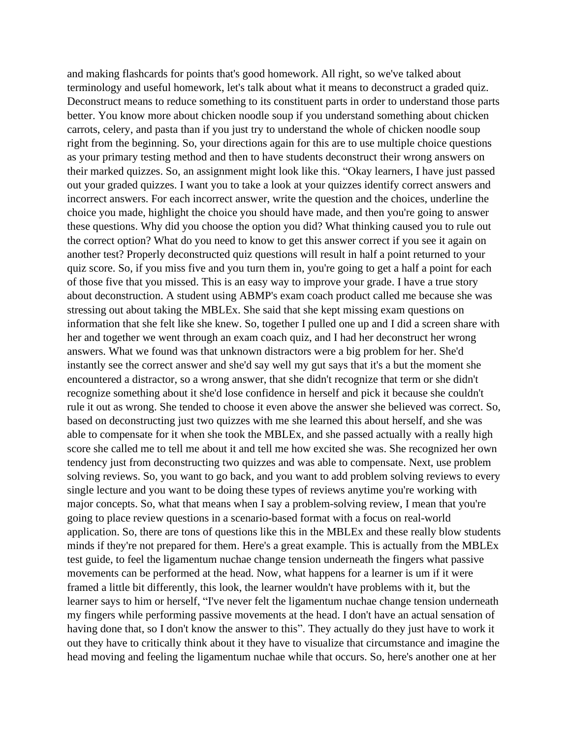and making flashcards for points that's good homework. All right, so we've talked about terminology and useful homework, let's talk about what it means to deconstruct a graded quiz. Deconstruct means to reduce something to its constituent parts in order to understand those parts better. You know more about chicken noodle soup if you understand something about chicken carrots, celery, and pasta than if you just try to understand the whole of chicken noodle soup right from the beginning. So, your directions again for this are to use multiple choice questions as your primary testing method and then to have students deconstruct their wrong answers on their marked quizzes. So, an assignment might look like this. "Okay learners, I have just passed out your graded quizzes. I want you to take a look at your quizzes identify correct answers and incorrect answers. For each incorrect answer, write the question and the choices, underline the choice you made, highlight the choice you should have made, and then you're going to answer these questions. Why did you choose the option you did? What thinking caused you to rule out the correct option? What do you need to know to get this answer correct if you see it again on another test? Properly deconstructed quiz questions will result in half a point returned to your quiz score. So, if you miss five and you turn them in, you're going to get a half a point for each of those five that you missed. This is an easy way to improve your grade. I have a true story about deconstruction. A student using ABMP's exam coach product called me because she was stressing out about taking the MBLEx. She said that she kept missing exam questions on information that she felt like she knew. So, together I pulled one up and I did a screen share with her and together we went through an exam coach quiz, and I had her deconstruct her wrong answers. What we found was that unknown distractors were a big problem for her. She'd instantly see the correct answer and she'd say well my gut says that it's a but the moment she encountered a distractor, so a wrong answer, that she didn't recognize that term or she didn't recognize something about it she'd lose confidence in herself and pick it because she couldn't rule it out as wrong. She tended to choose it even above the answer she believed was correct. So, based on deconstructing just two quizzes with me she learned this about herself, and she was able to compensate for it when she took the MBLEx, and she passed actually with a really high score she called me to tell me about it and tell me how excited she was. She recognized her own tendency just from deconstructing two quizzes and was able to compensate. Next, use problem solving reviews. So, you want to go back, and you want to add problem solving reviews to every single lecture and you want to be doing these types of reviews anytime you're working with major concepts. So, what that means when I say a problem-solving review, I mean that you're going to place review questions in a scenario-based format with a focus on real-world application. So, there are tons of questions like this in the MBLEx and these really blow students minds if they're not prepared for them. Here's a great example. This is actually from the MBLEx test guide, to feel the ligamentum nuchae change tension underneath the fingers what passive movements can be performed at the head. Now, what happens for a learner is um if it were framed a little bit differently, this look, the learner wouldn't have problems with it, but the learner says to him or herself, "I've never felt the ligamentum nuchae change tension underneath my fingers while performing passive movements at the head. I don't have an actual sensation of having done that, so I don't know the answer to this". They actually do they just have to work it out they have to critically think about it they have to visualize that circumstance and imagine the head moving and feeling the ligamentum nuchae while that occurs. So, here's another one at her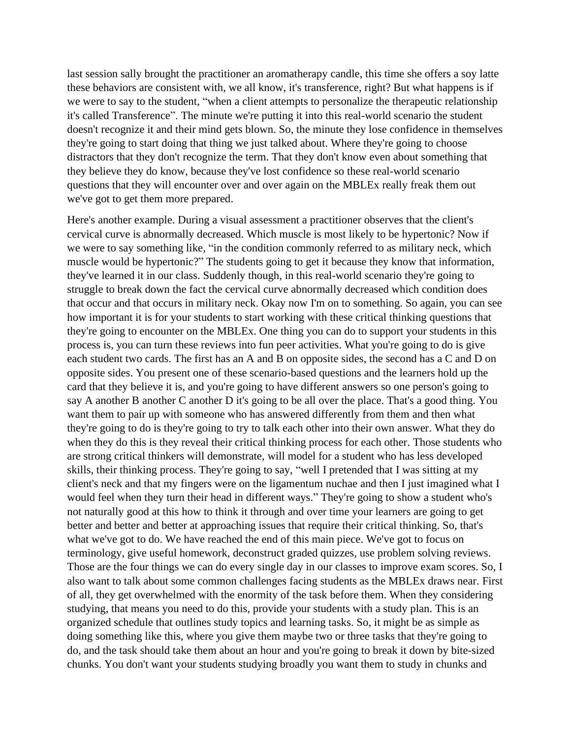last session sally brought the practitioner an aromatherapy candle, this time she offers a soy latte these behaviors are consistent with, we all know, it's transference, right? But what happens is if we were to say to the student, "when a client attempts to personalize the therapeutic relationship it's called Transference". The minute we're putting it into this real-world scenario the student doesn't recognize it and their mind gets blown. So, the minute they lose confidence in themselves they're going to start doing that thing we just talked about. Where they're going to choose distractors that they don't recognize the term. That they don't know even about something that they believe they do know, because they've lost confidence so these real-world scenario questions that they will encounter over and over again on the MBLEx really freak them out we've got to get them more prepared.

Here's another example. During a visual assessment a practitioner observes that the client's cervical curve is abnormally decreased. Which muscle is most likely to be hypertonic? Now if we were to say something like, "in the condition commonly referred to as military neck, which muscle would be hypertonic?" The students going to get it because they know that information, they've learned it in our class. Suddenly though, in this real-world scenario they're going to struggle to break down the fact the cervical curve abnormally decreased which condition does that occur and that occurs in military neck. Okay now I'm on to something. So again, you can see how important it is for your students to start working with these critical thinking questions that they're going to encounter on the MBLEx. One thing you can do to support your students in this process is, you can turn these reviews into fun peer activities. What you're going to do is give each student two cards. The first has an A and B on opposite sides, the second has a C and D on opposite sides. You present one of these scenario-based questions and the learners hold up the card that they believe it is, and you're going to have different answers so one person's going to say A another B another C another D it's going to be all over the place. That's a good thing. You want them to pair up with someone who has answered differently from them and then what they're going to do is they're going to try to talk each other into their own answer. What they do when they do this is they reveal their critical thinking process for each other. Those students who are strong critical thinkers will demonstrate, will model for a student who has less developed skills, their thinking process. They're going to say, "well I pretended that I was sitting at my client's neck and that my fingers were on the ligamentum nuchae and then I just imagined what I would feel when they turn their head in different ways." They're going to show a student who's not naturally good at this how to think it through and over time your learners are going to get better and better and better at approaching issues that require their critical thinking. So, that's what we've got to do. We have reached the end of this main piece. We've got to focus on terminology, give useful homework, deconstruct graded quizzes, use problem solving reviews. Those are the four things we can do every single day in our classes to improve exam scores. So, I also want to talk about some common challenges facing students as the MBLEx draws near. First of all, they get overwhelmed with the enormity of the task before them. When they considering studying, that means you need to do this, provide your students with a study plan. This is an organized schedule that outlines study topics and learning tasks. So, it might be as simple as doing something like this, where you give them maybe two or three tasks that they're going to do, and the task should take them about an hour and you're going to break it down by bite-sized chunks. You don't want your students studying broadly you want them to study in chunks and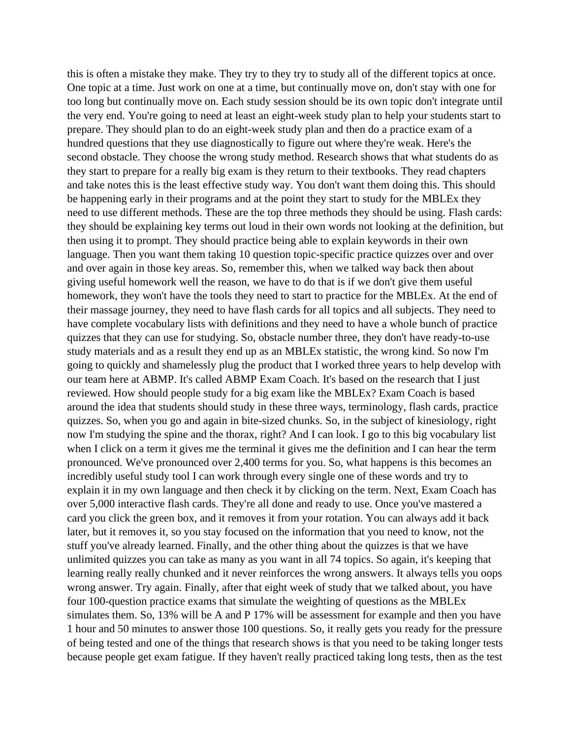this is often a mistake they make. They try to they try to study all of the different topics at once. One topic at a time. Just work on one at a time, but continually move on, don't stay with one for too long but continually move on. Each study session should be its own topic don't integrate until the very end. You're going to need at least an eight-week study plan to help your students start to prepare. They should plan to do an eight-week study plan and then do a practice exam of a hundred questions that they use diagnostically to figure out where they're weak. Here's the second obstacle. They choose the wrong study method. Research shows that what students do as they start to prepare for a really big exam is they return to their textbooks. They read chapters and take notes this is the least effective study way. You don't want them doing this. This should be happening early in their programs and at the point they start to study for the MBLEx they need to use different methods. These are the top three methods they should be using. Flash cards: they should be explaining key terms out loud in their own words not looking at the definition, but then using it to prompt. They should practice being able to explain keywords in their own language. Then you want them taking 10 question topic-specific practice quizzes over and over and over again in those key areas. So, remember this, when we talked way back then about giving useful homework well the reason, we have to do that is if we don't give them useful homework, they won't have the tools they need to start to practice for the MBLEx. At the end of their massage journey, they need to have flash cards for all topics and all subjects. They need to have complete vocabulary lists with definitions and they need to have a whole bunch of practice quizzes that they can use for studying. So, obstacle number three, they don't have ready-to-use study materials and as a result they end up as an MBLEx statistic, the wrong kind. So now I'm going to quickly and shamelessly plug the product that I worked three years to help develop with our team here at ABMP. It's called ABMP Exam Coach. It's based on the research that I just reviewed. How should people study for a big exam like the MBLEx? Exam Coach is based around the idea that students should study in these three ways, terminology, flash cards, practice quizzes. So, when you go and again in bite-sized chunks. So, in the subject of kinesiology, right now I'm studying the spine and the thorax, right? And I can look. I go to this big vocabulary list when I click on a term it gives me the terminal it gives me the definition and I can hear the term pronounced. We've pronounced over 2,400 terms for you. So, what happens is this becomes an incredibly useful study tool I can work through every single one of these words and try to explain it in my own language and then check it by clicking on the term. Next, Exam Coach has over 5,000 interactive flash cards. They're all done and ready to use. Once you've mastered a card you click the green box, and it removes it from your rotation. You can always add it back later, but it removes it, so you stay focused on the information that you need to know, not the stuff you've already learned. Finally, and the other thing about the quizzes is that we have unlimited quizzes you can take as many as you want in all 74 topics. So again, it's keeping that learning really really chunked and it never reinforces the wrong answers. It always tells you oops wrong answer. Try again. Finally, after that eight week of study that we talked about, you have four 100-question practice exams that simulate the weighting of questions as the MBLEx simulates them. So, 13% will be A and P 17% will be assessment for example and then you have 1 hour and 50 minutes to answer those 100 questions. So, it really gets you ready for the pressure of being tested and one of the things that research shows is that you need to be taking longer tests because people get exam fatigue. If they haven't really practiced taking long tests, then as the test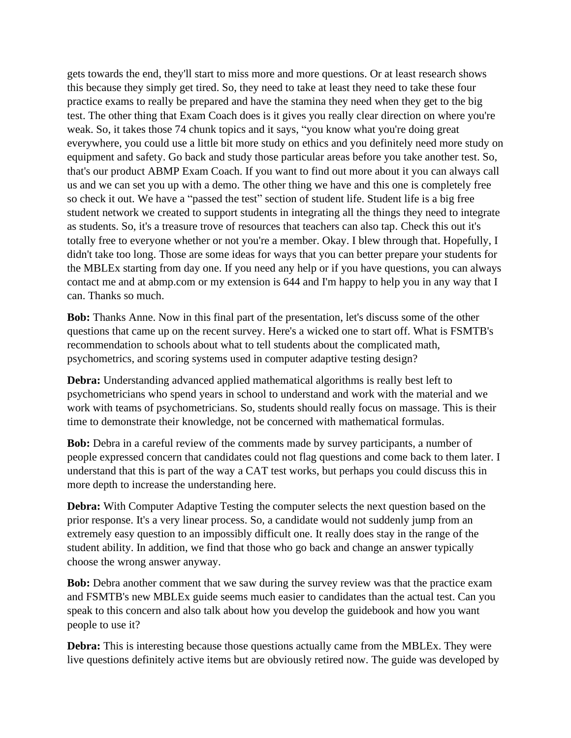gets towards the end, they'll start to miss more and more questions. Or at least research shows this because they simply get tired. So, they need to take at least they need to take these four practice exams to really be prepared and have the stamina they need when they get to the big test. The other thing that Exam Coach does is it gives you really clear direction on where you're weak. So, it takes those 74 chunk topics and it says, "you know what you're doing great everywhere, you could use a little bit more study on ethics and you definitely need more study on equipment and safety. Go back and study those particular areas before you take another test. So, that's our product ABMP Exam Coach. If you want to find out more about it you can always call us and we can set you up with a demo. The other thing we have and this one is completely free so check it out. We have a "passed the test" section of student life. Student life is a big free student network we created to support students in integrating all the things they need to integrate as students. So, it's a treasure trove of resources that teachers can also tap. Check this out it's totally free to everyone whether or not you're a member. Okay. I blew through that. Hopefully, I didn't take too long. Those are some ideas for ways that you can better prepare your students for the MBLEx starting from day one. If you need any help or if you have questions, you can always contact me and at abmp.com or my extension is 644 and I'm happy to help you in any way that I can. Thanks so much.

**Bob:** Thanks Anne. Now in this final part of the presentation, let's discuss some of the other questions that came up on the recent survey. Here's a wicked one to start off. What is FSMTB's recommendation to schools about what to tell students about the complicated math, psychometrics, and scoring systems used in computer adaptive testing design?

**Debra:** Understanding advanced applied mathematical algorithms is really best left to psychometricians who spend years in school to understand and work with the material and we work with teams of psychometricians. So, students should really focus on massage. This is their time to demonstrate their knowledge, not be concerned with mathematical formulas.

**Bob:** Debra in a careful review of the comments made by survey participants, a number of people expressed concern that candidates could not flag questions and come back to them later. I understand that this is part of the way a CAT test works, but perhaps you could discuss this in more depth to increase the understanding here.

**Debra:** With Computer Adaptive Testing the computer selects the next question based on the prior response. It's a very linear process. So, a candidate would not suddenly jump from an extremely easy question to an impossibly difficult one. It really does stay in the range of the student ability. In addition, we find that those who go back and change an answer typically choose the wrong answer anyway.

**Bob:** Debra another comment that we saw during the survey review was that the practice exam and FSMTB's new MBLEx guide seems much easier to candidates than the actual test. Can you speak to this concern and also talk about how you develop the guidebook and how you want people to use it?

**Debra:** This is interesting because those questions actually came from the MBLEx. They were live questions definitely active items but are obviously retired now. The guide was developed by